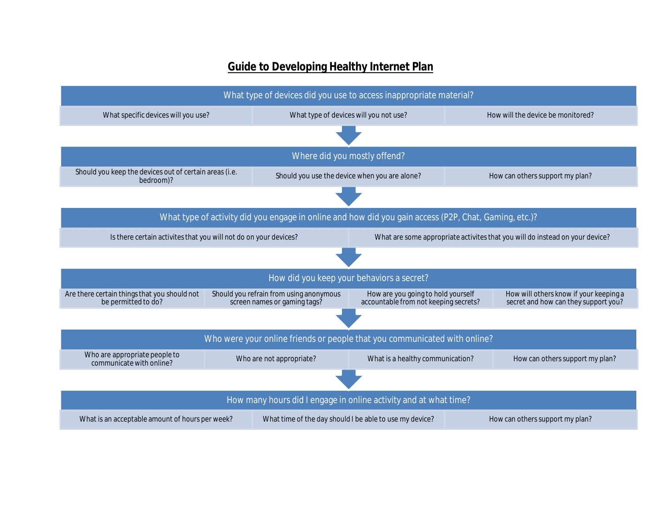## **Guide to Developing Healthy Internet Plan**